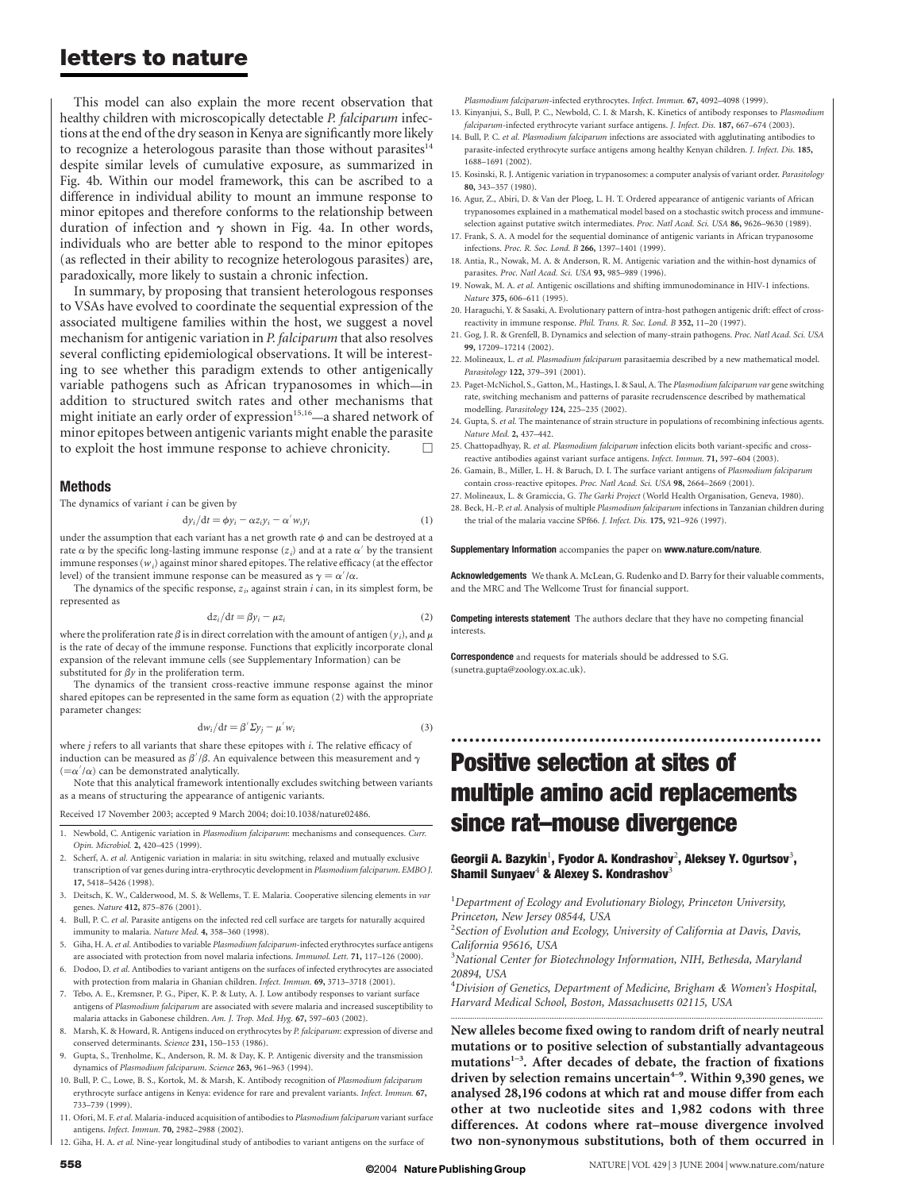This model can also explain the more recent observation that healthy children with microscopically detectable P. falciparum infections at the end of the dry season in Kenya are significantly more likely to recognize a heterologous parasite than those without parasites<sup>14</sup> despite similar levels of cumulative exposure, as summarized in Fig. 4b. Within our model framework, this can be ascribed to a difference in individual ability to mount an immune response to minor epitopes and therefore conforms to the relationship between duration of infection and  $\gamma$  shown in Fig. 4a. In other words, individuals who are better able to respond to the minor epitopes (as reflected in their ability to recognize heterologous parasites) are, paradoxically, more likely to sustain a chronic infection.

In summary, by proposing that transient heterologous responses to VSAs have evolved to coordinate the sequential expression of the associated multigene families within the host, we suggest a novel mechanism for antigenic variation in P. falciparum that also resolves several conflicting epidemiological observations. It will be interesting to see whether this paradigm extends to other antigenically variable pathogens such as African trypanosomes in which—in addition to structured switch rates and other mechanisms that might initiate an early order of expression<sup>15,16</sup>—a shared network of minor epitopes between antigenic variants might enable the parasite to exploit the host immune response to achieve chronicity.

#### Methods

The dynamics of variant  $i$  can be given by

$$
dy_i/dt = \phi y_i - \alpha z_i y_i - \alpha' w_i y_i \tag{1}
$$

under the assumption that each variant has a net growth rate  $\phi$  and can be destroyed at a rate  $\alpha$  by the specific long-lasting immune response ( $z_i$ ) and at a rate  $\alpha'$  by the transient immune responses  $(w_i)$  against minor shared epitopes. The relative efficacy (at the effector level) of the transient immune response can be measured as  $\gamma = \alpha'/\alpha$ .

The dynamics of the specific response,  $z_i$ , against strain  $i$  can, in its simplest form, be represented as

$$
dz_i/dt = \beta y_i - \mu z_i \tag{2}
$$

where the proliferation rate  $\beta$  is in direct correlation with the amount of antigen ( $y_i$ ), and  $\mu$ is the rate of decay of the immune response. Functions that explicitly incorporate clonal expansion of the relevant immune cells (see Supplementary Information) can be substituted for  $\beta y$  in the proliferation term.

The dynamics of the transient cross-reactive immune response against the minor shared epitopes can be represented in the same form as equation (2) with the appropriate parameter changes:

$$
dw_i/dt = \beta' \Sigma y_i - \mu' w_i
$$
 (3)

where  $j$  refers to all variants that share these epitopes with  $i$ . The relative efficacy of induction can be measured as  $\beta'/\beta$ . An equivalence between this measurement and  $\gamma$  $(=\alpha'/\alpha)$  can be demonstrated analytically.

Note that this analytical framework intentionally excludes switching between variants as a means of structuring the appearance of antigenic variants.

Received 17 November 2003; accepted 9 March 2004; doi:10.1038/nature02486.

- 1. Newbold, C. Antigenic variation in Plasmodium falciparum: mechanisms and consequences. Curr. Opin. Microbiol. 2, 420–425 (1999).
- 2. Scherf, A. et al. Antigenic variation in malaria: in situ switching, relaxed and mutually exclusive transcription of var genes during intra-erythrocytic development in Plasmodium falciparum. EMBO J. 17, 5418–5426 (1998).
- 3. Deitsch, K. W., Calderwood, M. S. & Wellems, T. E. Malaria. Cooperative silencing elements in var genes. Nature 412, 875–876 (2001).
- 4. Bull, P. C. et al. Parasite antigens on the infected red cell surface are targets for naturally acquired immunity to malaria. Nature Med. 4, 358–360 (1998).
- 5. Giha, H. A. et al. Antibodies to variable Plasmodium falciparum-infected erythrocytes surface antigens are associated with protection from novel malaria infections. Immunol. Lett. 71, 117–126 (2000).
- 6. Dodoo, D. et al. Antibodies to variant antigens on the surfaces of infected erythrocytes are associated with protection from malaria in Ghanian children. *Infect. Immun.* 69, 3713–3718 (2001).
- 7. Tebo, A. E., Kremsner, P. G., Piper, K. P. & Luty, A. J. Low antibody responses to variant surface antigens of Plasmodium falciparum are associated with severe malaria and increased susceptibility to malaria attacks in Gabonese children. Am. J. Trop. Med. Hyg. 67, 597–603 (2002).
- 8. Marsh, K. & Howard, R. Antigens induced on erythrocytes by P. falciparum: expression of diverse and conserved determinants. Science 231, 150–153 (1986).
- 9. Gupta, S., Trenholme, K., Anderson, R. M. & Day, K. P. Antigenic diversity and the transmission dynamics of Plasmodium falciparum. Science 263, 961–963 (1994).
- 10. Bull, P. C., Lowe, B. S., Kortok, M. & Marsh, K. Antibody recognition of Plasmodium falciparum erythrocyte surface antigens in Kenya: evidence for rare and prevalent variants. Infect. Immun. 67, 733–739 (1999).
- 11. Ofori, M. F. et al. Malaria-induced acquisition of antibodies to Plasmodium falciparum variant surface antigens. Infect. Immun. 70, 2982–2988 (2002).
- 12. Giha, H. A. et al. Nine-year longitudinal study of antibodies to variant antigens on the surface of
- Plasmodium falciparum-infected erythrocytes. Infect. Immun. 67, 4092–4098 (1999). 13. Kinyanjui, S., Bull, P. C., Newbold, C. I. & Marsh, K. Kinetics of antibody responses to Plasmodium
- falciparum-infected erythrocyte variant surface antigens. J. Infect. Dis. 187, 667–674 (2003). 14. Bull, P. C. et al. Plasmodium falciparum infections are associated with agglutinating antibodies to
- parasite-infected erythrocyte surface antigens among healthy Kenyan children. J. Infect. Dis. 185, 1688–1691 (2002).
- 15. Kosinski, R. J. Antigenic variation in trypanosomes: a computer analysis of variant order. Parasitology 80, 343–357 (1980).
- 16. Agur, Z., Abiri, D. & Van der Ploeg, L. H. T. Ordered appearance of antigenic variants of African trypanosomes explained in a mathematical model based on a stochastic switch process and immuneselection against putative switch intermediates. Proc. Natl Acad. Sci. USA 86, 9626-9630 (1989).
- 17. Frank, S. A. A model for the sequential dominance of antigenic variants in African trypanosome infections. Proc. R. Soc. Lond. B 266, 1397–1401 (1999).
- 18. Antia, R., Nowak, M. A. & Anderson, R. M. Antigenic variation and the within-host dynamics of parasites. Proc. Natl Acad. Sci. USA 93, 985–989 (1996).
- 19. Nowak, M. A. et al. Antigenic oscillations and shifting immunodominance in HIV-1 infections Nature 375, 606–611 (1995).
- 20. Haraguchi, Y. & Sasaki, A. Evolutionary pattern of intra-host pathogen antigenic drift: effect of crossreactivity in immune response. Phil. Trans. R. Soc. Lond. B 352, 11–20 (1997).
- 21. Gog, J. R. & Grenfell, B. Dynamics and selection of many-strain pathogens. Proc. Natl Acad. Sci. USA 99, 17209–17214 (2002).
- 22. Molineaux, L. et al. Plasmodium falciparum parasitaemia described by a new mathematical model. Parasitology 122, 379–391 (2001).
- 23. Paget-McNichol, S., Gatton, M., Hastings, I. & Saul, A. The Plasmodium falciparum var gene switching rate, switching mechanism and patterns of parasite recrudenscence described by mathematical modelling. Parasitology 124, 225–235 (2002).
- 24. Gupta, S. et al. The maintenance of strain structure in populations of recombining infectious agents. Nature Med. 2, 437–442.
- 25. Chattopadhyay, R. et al. Plasmodium falciparum infection elicits both variant-specific and crossreactive antibodies against variant surface antigens. Infect. Immun. 71, 597–604 (2003).
- 26. Gamain, B., Miller, L. H. & Baruch, D. I. The surface variant antigens of Plasmodium falciparum contain cross-reactive epitopes. Proc. Natl Acad. Sci. USA 98, 2664–2669 (2001).
- 27. Molineaux, L. & Gramiccia, G. The Garki Project (World Health Organisation, Geneva, 1980).
- 28. Beck, H.-P. et al. Analysis of multiple Plasmodium falciparum infections in Tanzanian children during the trial of the malaria vaccine SPf66. J. Infect. Dis. 175, 921–926 (1997).

#### Supplementary Information accompanies the paper on www.nature.com/nature.

Acknowledgements We thank A. McLean, G. Rudenko and D. Barry for their valuable comments, and the MRC and The Wellcome Trust for financial support.

Competing interests statement The authors declare that they have no competing financial interests.

Correspondence and requests for materials should be addressed to S.G. (sunetra.gupta@zoology.ox.ac.uk).

# Positive selection at sites of multiple amino acid replacements since rat–mouse divergence

..............................................................

#### Georgii A. Bazykin $^1$ , Fyodor A. Kondrashov $^2$ , Aleksey Y. Ogurtsov $^3$ , Shamil Sunyaev<sup>4</sup> & Alexey S. Kondrashov<sup>3</sup>

<sup>1</sup>Department of Ecology and Evolutionary Biology, Princeton University, Princeton, New Jersey 08544, USA

 $2$ Section of Evolution and Ecology, University of California at Davis, Davis, California 95616, USA

<sup>3</sup>National Center for Biotechnology Information, NIH, Bethesda, Maryland 20894, USA

4 Division of Genetics, Department of Medicine, Brigham *&* Women's Hospital, Harvard Medical School, Boston, Massachusetts 02115, USA .............................................................................................................................................................................

New alleles become fixed owing to random drift of nearly neutral mutations or to positive selection of substantially advantageous mutations<sup>1-3</sup>. After decades of debate, the fraction of fixations driven by selection remains uncertain<sup>4-9</sup>. Within 9,390 genes, we analysed 28,196 codons at which rat and mouse differ from each other at two nucleotide sites and 1,982 codons with three differences. At codons where rat–mouse divergence involved two non-synonymous substitutions, both of them occurred in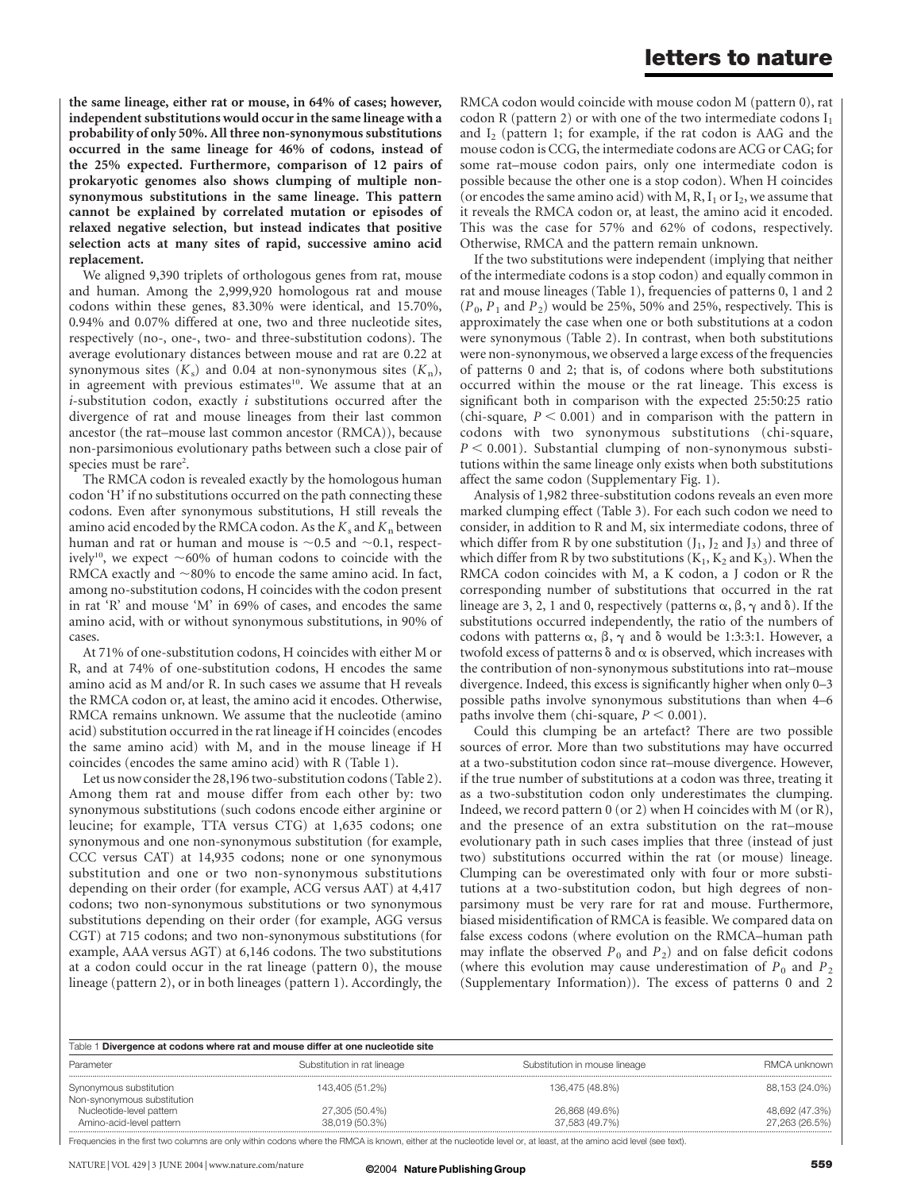the same lineage, either rat or mouse, in 64% of cases; however, independent substitutions would occur in the same lineage with a probability of only 50%. All three non-synonymous substitutions occurred in the same lineage for 46% of codons, instead of the 25% expected. Furthermore, comparison of 12 pairs of prokaryotic genomes also shows clumping of multiple nonsynonymous substitutions in the same lineage. This pattern cannot be explained by correlated mutation or episodes of relaxed negative selection, but instead indicates that positive selection acts at many sites of rapid, successive amino acid replacement.

We aligned 9,390 triplets of orthologous genes from rat, mouse and human. Among the 2,999,920 homologous rat and mouse codons within these genes, 83.30% were identical, and 15.70%, 0.94% and 0.07% differed at one, two and three nucleotide sites, respectively (no-, one-, two- and three-substitution codons). The average evolutionary distances between mouse and rat are 0.22 at synonymous sites  $(K_s)$  and 0.04 at non-synonymous sites  $(K_n)$ , in agreement with previous estimates<sup>10</sup>. We assume that at an  $i$ -substitution codon, exactly  $i$  substitutions occurred after the divergence of rat and mouse lineages from their last common ancestor (the rat–mouse last common ancestor (RMCA)), because non-parsimonious evolutionary paths between such a close pair of species must be rare<sup>2</sup>.

The RMCA codon is revealed exactly by the homologous human codon 'H' if no substitutions occurred on the path connecting these codons. Even after synonymous substitutions, H still reveals the amino acid encoded by the RMCA codon. As the  $K_s$  and  $K_n$  between human and rat or human and mouse is  $\sim$ 0.5 and  $\sim$ 0.1, respectively<sup>10</sup>, we expect  $\sim 60\%$  of human codons to coincide with the RMCA exactly and  $\sim80\%$  to encode the same amino acid. In fact, among no-substitution codons, H coincides with the codon present in rat 'R' and mouse 'M' in 69% of cases, and encodes the same amino acid, with or without synonymous substitutions, in 90% of cases.

At 71% of one-substitution codons, H coincides with either M or R, and at 74% of one-substitution codons, H encodes the same amino acid as M and/or R. In such cases we assume that H reveals the RMCA codon or, at least, the amino acid it encodes. Otherwise, RMCA remains unknown. We assume that the nucleotide (amino acid) substitution occurred in the rat lineage if H coincides (encodes the same amino acid) with M, and in the mouse lineage if H coincides (encodes the same amino acid) with R (Table 1).

Let us now consider the 28,196 two-substitution codons (Table 2). Among them rat and mouse differ from each other by: two synonymous substitutions (such codons encode either arginine or leucine; for example, TTA versus CTG) at 1,635 codons; one synonymous and one non-synonymous substitution (for example, CCC versus CAT) at 14,935 codons; none or one synonymous substitution and one or two non-synonymous substitutions depending on their order (for example, ACG versus AAT) at 4,417 codons; two non-synonymous substitutions or two synonymous substitutions depending on their order (for example, AGG versus CGT) at 715 codons; and two non-synonymous substitutions (for example, AAA versus AGT) at 6,146 codons. The two substitutions at a codon could occur in the rat lineage (pattern 0), the mouse lineage (pattern 2), or in both lineages (pattern 1). Accordingly, the

RMCA codon would coincide with mouse codon M (pattern 0), rat codon R (pattern 2) or with one of the two intermediate codons  $I_1$ and  $I_2$  (pattern 1; for example, if the rat codon is AAG and the mouse codon is CCG, the intermediate codons are ACG or CAG; for some rat–mouse codon pairs, only one intermediate codon is possible because the other one is a stop codon). When H coincides (or encodes the same amino acid) with M, R,  $I_1$  or  $I_2$ , we assume that it reveals the RMCA codon or, at least, the amino acid it encoded. This was the case for 57% and 62% of codons, respectively. Otherwise, RMCA and the pattern remain unknown.

If the two substitutions were independent (implying that neither of the intermediate codons is a stop codon) and equally common in rat and mouse lineages (Table 1), frequencies of patterns 0, 1 and 2  $(P_0, P_1 \text{ and } P_2)$  would be 25%, 50% and 25%, respectively. This is approximately the case when one or both substitutions at a codon were synonymous (Table 2). In contrast, when both substitutions were non-synonymous, we observed a large excess of the frequencies of patterns 0 and 2; that is, of codons where both substitutions occurred within the mouse or the rat lineage. This excess is significant both in comparison with the expected 25:50:25 ratio (chi-square,  $P < 0.001$ ) and in comparison with the pattern in codons with two synonymous substitutions (chi-square,  $P < 0.001$ ). Substantial clumping of non-synonymous substitutions within the same lineage only exists when both substitutions affect the same codon (Supplementary Fig. 1).

Analysis of 1,982 three-substitution codons reveals an even more marked clumping effect (Table 3). For each such codon we need to consider, in addition to R and M, six intermediate codons, three of which differ from R by one substitution  $(J_1, J_2, J_3)$  and three of which differ from R by two substitutions  $(K_1, K_2, M_3)$ . When the RMCA codon coincides with M, a K codon, a J codon or R the corresponding number of substitutions that occurred in the rat lineage are 3, 2, 1 and 0, respectively (patterns  $\alpha$ ,  $\beta$ ,  $\gamma$  and  $\delta$ ). If the substitutions occurred independently, the ratio of the numbers of codons with patterns  $\alpha$ ,  $\beta$ ,  $\gamma$  and  $\delta$  would be 1:3:3:1. However, a twofold excess of patterns  $\delta$  and  $\alpha$  is observed, which increases with the contribution of non-synonymous substitutions into rat–mouse divergence. Indeed, this excess is significantly higher when only 0–3 possible paths involve synonymous substitutions than when 4–6 paths involve them (chi-square,  $P < 0.001$ ).

Could this clumping be an artefact? There are two possible sources of error. More than two substitutions may have occurred at a two-substitution codon since rat–mouse divergence. However, if the true number of substitutions at a codon was three, treating it as a two-substitution codon only underestimates the clumping. Indeed, we record pattern 0 (or 2) when H coincides with M (or R), and the presence of an extra substitution on the rat–mouse evolutionary path in such cases implies that three (instead of just two) substitutions occurred within the rat (or mouse) lineage. Clumping can be overestimated only with four or more substitutions at a two-substitution codon, but high degrees of nonparsimony must be very rare for rat and mouse. Furthermore, biased misidentification of RMCA is feasible. We compared data on false excess codons (where evolution on the RMCA–human path may inflate the observed  $P_0$  and  $P_2$ ) and on false deficit codons (where this evolution may cause underestimation of  $P_0$  and  $P_2$ (Supplementary Information)). The excess of patterns 0 and 2

| Table 1 Divergence at codons where rat and mouse differ at one nucleotide site |                                  |                                  |                                  |  |  |
|--------------------------------------------------------------------------------|----------------------------------|----------------------------------|----------------------------------|--|--|
| Parameter                                                                      | Substitution in rat lineage      | Substitution in mouse lineage    | RMCA unknown                     |  |  |
| Synonymous substitution<br>Non-synonymous substitution                         | 143,405 (51.2%)                  | 136,475 (48.8%)                  | 88,153 (24.0%)                   |  |  |
| Nucleotide-level pattern<br>Amino-acid-level pattern                           | 27,305 (50.4%)<br>38,019 (50.3%) | 26,868 (49.6%)<br>37,583 (49.7%) | 48,692 (47.3%)<br>27,263 (26.5%) |  |  |

Frequencies in the first two columns are only within codons where the RMCA is known, either at the nucleotide level or, at least, at the amino acid level (see text).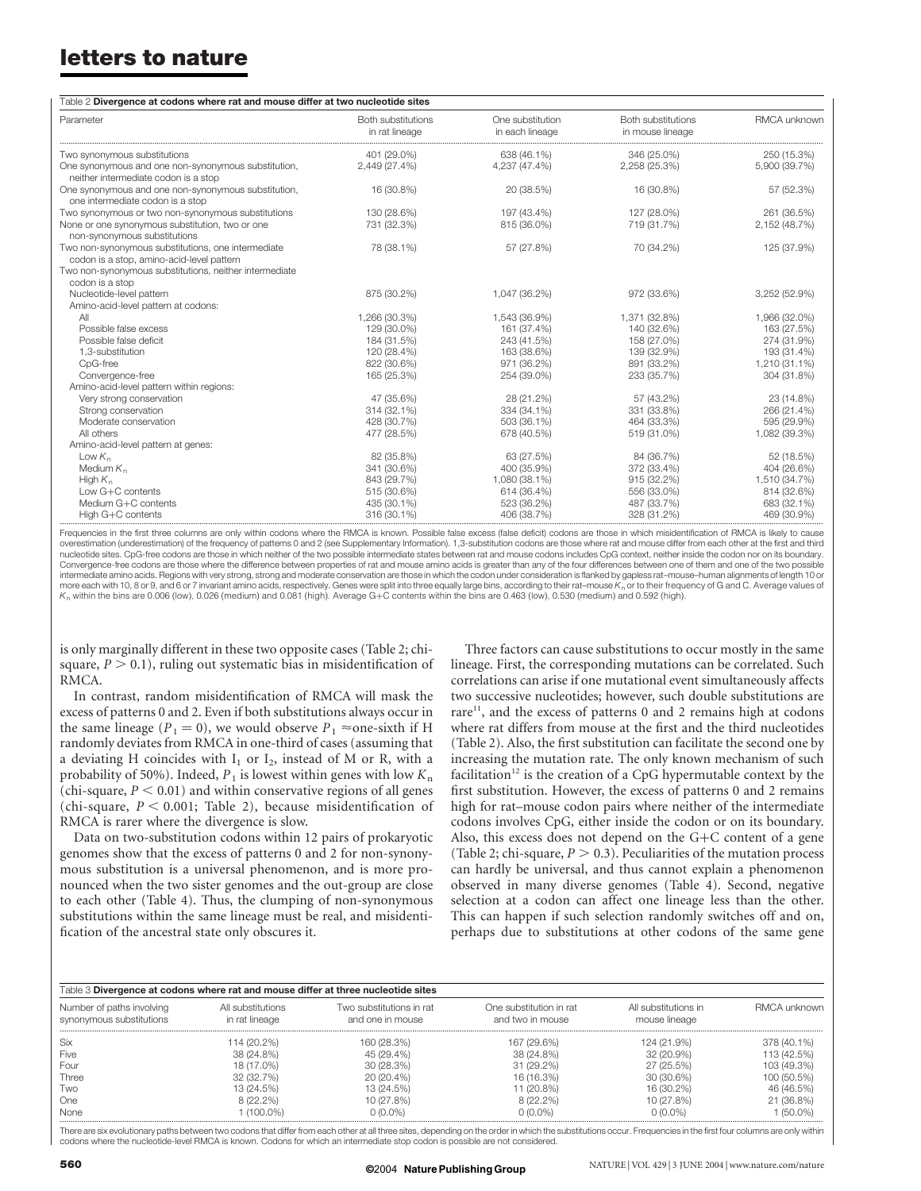| Table 2 Divergence at codons where rat and mouse differ at two nucleotide sites                                             |                                      |                                     |                                        |                              |  |
|-----------------------------------------------------------------------------------------------------------------------------|--------------------------------------|-------------------------------------|----------------------------------------|------------------------------|--|
| Parameter                                                                                                                   | Both substitutions<br>in rat lineage | One substitution<br>in each lineage | Both substitutions<br>in mouse lineage | RMCA unknown                 |  |
| Two synonymous substitutions<br>One synonymous and one non-synonymous substitution,<br>neither intermediate codon is a stop | 401 (29.0%)<br>2.449 (27.4%)         | 638 (46.1%)<br>4.237 (47.4%)        | 346 (25.0%)<br>2,258 (25.3%)           | 250 (15.3%)<br>5,900 (39.7%) |  |
| One synonymous and one non-synonymous substitution,<br>one intermediate codon is a stop                                     | 16 (30.8%)                           | 20 (38.5%)                          | 16 (30.8%)                             | 57 (52.3%)                   |  |
| Two synonymous or two non-synonymous substitutions                                                                          | 130 (28.6%)                          | 197 (43.4%)                         | 127 (28.0%)                            | 261 (36.5%)                  |  |
| None or one synonymous substitution, two or one<br>non-synonymous substitutions                                             | 731 (32.3%)                          | 815 (36.0%)                         | 719 (31.7%)                            | 2,152 (48.7%)                |  |
| Two non-synonymous substitutions, one intermediate<br>codon is a stop, amino-acid-level pattern                             | 78 (38.1%)                           | 57 (27.8%)                          | 70 (34.2%)                             | 125 (37.9%)                  |  |
| Two non-synonymous substitutions, neither intermediate<br>codon is a stop                                                   |                                      |                                     |                                        |                              |  |
| Nucleotide-level pattern<br>Amino-acid-level pattern at codons:                                                             | 875 (30.2%)                          | 1,047 (36.2%)                       | 972 (33.6%)                            | 3,252 (52.9%)                |  |
| All                                                                                                                         | 1,266 (30.3%)                        | 1,543 (36.9%)                       | 1,371 (32.8%)                          | 1,966 (32.0%)                |  |
| Possible false excess                                                                                                       | 129 (30.0%)                          | 161 (37.4%)                         | 140 (32.6%)                            | 163 (27.5%)                  |  |
| Possible false deficit                                                                                                      | 184 (31.5%)                          | 243 (41.5%)                         | 158 (27.0%)                            | 274 (31.9%)                  |  |
| 1.3-substitution                                                                                                            | 120 (28.4%)                          | 163 (38.6%)                         | 139 (32.9%)                            | 193 (31.4%)                  |  |
| CpG-free                                                                                                                    | 822 (30.6%)                          | 971 (36.2%)                         | 891 (33.2%)                            | 1,210 (31.1%)                |  |
| Convergence-free                                                                                                            | 165 (25.3%)                          | 254 (39.0%)                         | 233 (35.7%)                            | 304 (31.8%)                  |  |
| Amino-acid-level pattern within regions:                                                                                    |                                      |                                     |                                        |                              |  |
| Very strong conservation                                                                                                    | 47 (35.6%)                           | 28 (21.2%)                          | 57 (43.2%)                             | 23 (14.8%)                   |  |
| Strong conservation                                                                                                         | 314 (32.1%)                          | 334 (34.1%)                         | 331 (33.8%)                            | 266 (21.4%)                  |  |
| Moderate conservation                                                                                                       | 428 (30.7%)                          | 503 (36.1%)                         | 464 (33.3%)                            | 595 (29.9%)                  |  |
| All others                                                                                                                  | 477 (28.5%)                          | 678 (40.5%)                         | 519 (31.0%)                            | 1,082 (39.3%)                |  |
| Amino-acid-level pattern at genes:                                                                                          |                                      |                                     |                                        |                              |  |
| Low $K_n$                                                                                                                   | 82 (35.8%)                           | 63 (27.5%)                          | 84 (36.7%)                             | 52 (18.5%)                   |  |
| Medium $K_n$                                                                                                                | 341 (30.6%)                          | 400 (35.9%)                         | 372 (33.4%)                            | 404 (26.6%)                  |  |
| High $K_n$                                                                                                                  | 843 (29.7%)                          | 1,080 (38.1%)                       | 915 (32.2%)                            | 1,510 (34.7%)                |  |
| Low G+C contents                                                                                                            | 515 (30.6%)                          | 614 (36.4%)                         | 556 (33.0%)                            | 814 (32.6%)                  |  |
| Medium G+C contents                                                                                                         | 435 (30.1%)                          | 523 (36.2%)                         | 487 (33.7%)                            | 683 (32.1%)                  |  |
| High G+C contents                                                                                                           | 316 (30.1%)                          | 406 (38.7%)                         | 328 (31.2%)                            | 469 (30.9%)                  |  |

Frequencies in the first three columns are only within codons where the RMCA is known. Possible false excess (false deficit) codons are those in which misidentification of RMCA is likely to cause overestimation (underestimation) of the frequency of patterns 0 and 2 (see Supplementary Information). 1,3-substitution codons are those where rat and mouse differ from each other at the first and third nucleotide sites. CpG-free codons are those in which neither of the two possible intermediate states between rat and mouse codons includes CpG context, neither inside the codon nor on its boundary. Convergence-free codons are those where the difference between properties of rat and mouse amino acids is greater than any of the four differences between one of them and one of the two possible intermediate amino acids. Regions with very strong, strong and moderate conservation are those in which the codon under consideration is flanked by gapless rat–mouse–human alignments of length 10 or more each with 10, 8 or 9, and 6 or 7 invariant amino acids, respectively. Genes were split into three equally large bins, according to their rat–mouse K<sub>n</sub> or to their frequency of G and C. Average values of  $K<sub>n</sub>$  within the bins are 0.006 (low), 0.026 (medium) and 0.081 (high). Average G+C contents within the bins are 0.463 (low), 0.530 (medium) and 0.592 (high).

is only marginally different in these two opposite cases (Table 2; chisquare,  $P > 0.1$ ), ruling out systematic bias in misidentification of RMCA.

In contrast, random misidentification of RMCA will mask the excess of patterns 0 and 2. Even if both substitutions always occur in the same lineage ( $P_1 = 0$ ), we would observe  $P_1 \approx$ one-sixth if H randomly deviates from RMCA in one-third of cases (assuming that a deviating H coincides with  $I_1$  or  $I_2$ , instead of M or R, with a probability of 50%). Indeed,  $P_1$  is lowest within genes with low  $K_n$ (chi-square,  $P < 0.01$ ) and within conservative regions of all genes (chi-square,  $P < 0.001$ ; Table 2), because misidentification of RMCA is rarer where the divergence is slow.

Data on two-substitution codons within 12 pairs of prokaryotic genomes show that the excess of patterns 0 and 2 for non-synonymous substitution is a universal phenomenon, and is more pronounced when the two sister genomes and the out-group are close to each other (Table 4). Thus, the clumping of non-synonymous substitutions within the same lineage must be real, and misidentification of the ancestral state only obscures it.

Three factors can cause substitutions to occur mostly in the same lineage. First, the corresponding mutations can be correlated. Such correlations can arise if one mutational event simultaneously affects two successive nucleotides; however, such double substitutions are rare<sup>11</sup>, and the excess of patterns 0 and 2 remains high at codons where rat differs from mouse at the first and the third nucleotides (Table 2). Also, the first substitution can facilitate the second one by increasing the mutation rate. The only known mechanism of such facilitation<sup>12</sup> is the creation of a CpG hypermutable context by the first substitution. However, the excess of patterns 0 and 2 remains high for rat–mouse codon pairs where neither of the intermediate codons involves CpG, either inside the codon or on its boundary. Also, this excess does not depend on the  $G+C$  content of a gene (Table 2; chi-square,  $P > 0.3$ ). Peculiarities of the mutation process can hardly be universal, and thus cannot explain a phenomenon observed in many diverse genomes (Table 4). Second, negative selection at a codon can affect one lineage less than the other. This can happen if such selection randomly switches off and on, perhaps due to substitutions at other codons of the same gene

| Table 3 Divergence at codons where rat and mouse differ at three nucleotide sites |                                     |                                              |                                             |                                       |              |
|-----------------------------------------------------------------------------------|-------------------------------------|----------------------------------------------|---------------------------------------------|---------------------------------------|--------------|
| Number of paths involving<br>synonymous substitutions                             | All substitutions<br>in rat lineage | Two substitutions in rat<br>and one in mouse | One substitution in rat<br>and two in mouse | All substitutions in<br>mouse lineage | RMCA unknown |
| Six                                                                               | 114 (20.2%)                         | 160 (28.3%)                                  | 167 (29.6%)                                 | 124 (21.9%)                           | 378 (40.1%)  |
| Five                                                                              | 38 (24.8%)                          | 45 (29.4%)                                   | 38 (24.8%)                                  | 32 (20.9%)                            | 113 (42.5%)  |
| Four                                                                              | 18 (17.0%)                          | 30 (28.3%)                                   | 31 (29.2%)                                  | 27 (25.5%)                            | 103 (49.3%)  |
| Three                                                                             | 32 (32.7%)                          | 20 (20.4%)                                   | 16 (16.3%)                                  | 30 (30.6%)                            | 100 (50.5%)  |
| Two                                                                               | 13 (24.5%)                          | 13 (24.5%)                                   | 11 (20.8%)                                  | 16 (30.2%)                            | 46 (46.5%)   |
| One                                                                               | $8(22.2\%)$                         | 10 (27.8%)                                   | $8(22.2\%)$                                 | 10 (27.8%)                            | 21 (36.8%)   |
| None                                                                              | $(100.0\%)$                         | $0(0.0\%)$                                   | $0(0.0\%)$                                  | $0(0.0\%)$                            | $(50.0\%)$   |

................................................................................................................................................................................................................................................................................................................................................................... There are six evolutionary paths between two codons that differ from each other at all three sites, depending on the order in which the substitutions occur. Frequencies in the first four columns are only within codons where the nucleotide-level RMCA is known. Codons for which an intermediate stop codon is possible are not considered.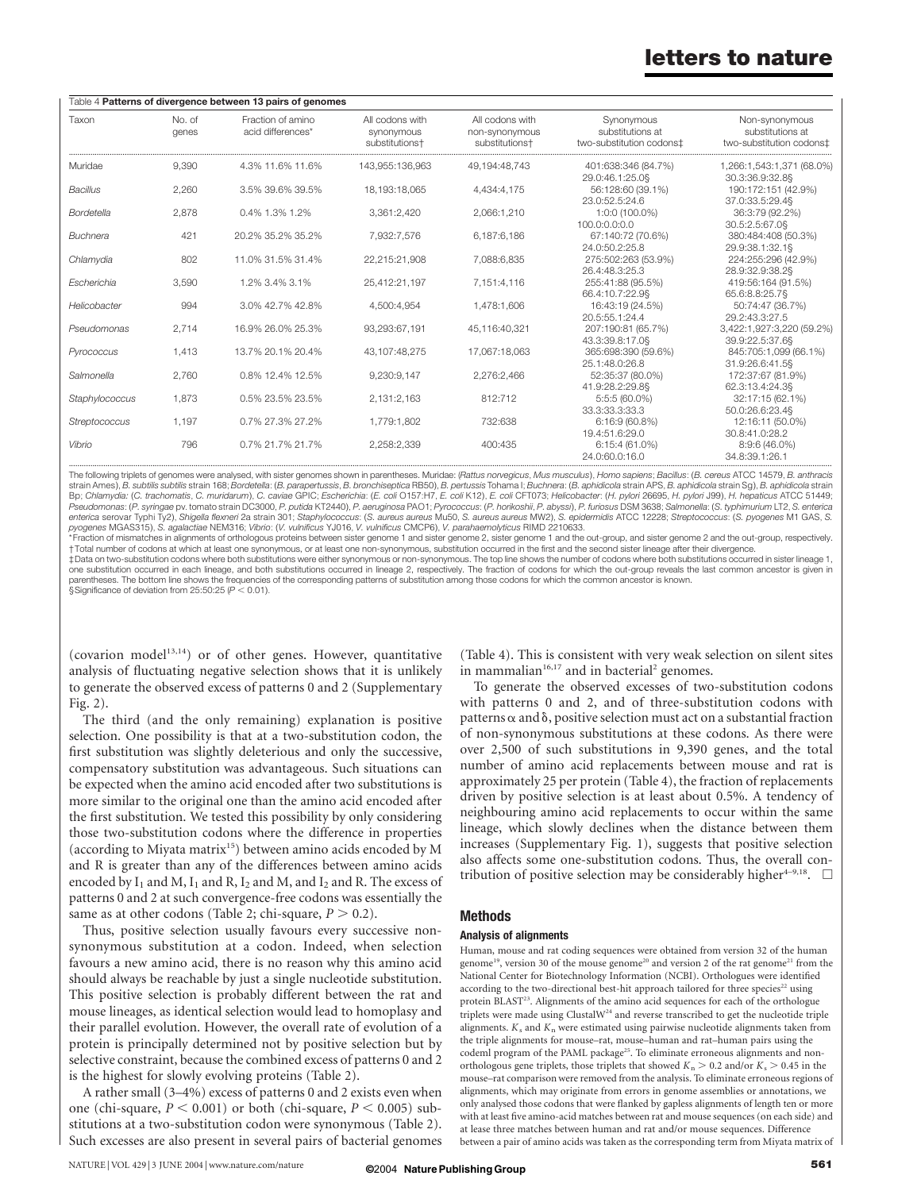| Table 4 Patterns of divergence between 13 pairs of genomes |                 |                                        |                                                 |                                                                 |                                                            |                                                                |
|------------------------------------------------------------|-----------------|----------------------------------------|-------------------------------------------------|-----------------------------------------------------------------|------------------------------------------------------------|----------------------------------------------------------------|
| Taxon                                                      | No. of<br>genes | Fraction of amino<br>acid differences* | All codons with<br>synonymous<br>substitutions+ | All codons with<br>non-synonymous<br>substitutions <sup>+</sup> | Synonymous<br>substitutions at<br>two-substitution codons± | Non-synonymous<br>substitutions at<br>two-substitution codons‡ |
| Muridae                                                    | 9.390           | 4.3% 11.6% 11.6%                       | 143.955:136.963                                 | 49.194:48.743                                                   | 401:638:346 (84.7%)<br>29.0:46.1:25.0§                     | 1,266:1,543:1,371 (68.0%)<br>30.3:36.9:32.8§                   |
| <b>Bacillus</b>                                            | 2.260           | 3.5% 39.6% 39.5%                       | 18.193:18.065                                   | 4.434:4.175                                                     | 56:128:60 (39.1%)<br>23.0:52.5:24.6                        | 190:172:151 (42.9%)<br>37.0:33.5:29.48                         |
| Bordetella                                                 | 2.878           | 0.4% 1.3% 1.2%                         | 3.361:2.420                                     | 2.066:1.210                                                     | 1:0:0 (100.0%)<br>100.0:0.0:0.0                            | 36:3:79 (92.2%)<br>30.5:2.5:67.0§                              |
| <b>Buchnera</b>                                            | 421             | 20.2% 35.2% 35.2%                      | 7,932:7,576                                     | 6,187:6,186                                                     | 67:140:72 (70.6%)<br>24.0:50.2:25.8                        | 380:484:408 (50.3%)<br>29.9:38.1:32.1§                         |
| Chlamydia                                                  | 802             | 11.0% 31.5% 31.4%                      | 22.215:21.908                                   | 7.088:6.835                                                     | 275:502:263 (53.9%)<br>26.4:48.3:25.3                      | 224:255:296 (42.9%)<br>28.9:32.9:38.28                         |
| Fscherichia                                                | 3.590           | 1.2% 3.4% 3.1%                         | 25.412:21.197                                   | 7.151:4.116                                                     | 255:41:88 (95.5%)<br>66.4:10.7:22.98                       | 419:56:164 (91.5%)<br>65.6:8.8:25.78                           |
| Helicobacter                                               | 994             | 3.0% 42.7% 42.8%                       | 4.500:4.954                                     | 1.478:1.606                                                     | 16:43:19 (24.5%)<br>20.5:55.1:24.4                         | 50:74:47 (36.7%)<br>29.2:43.3:27.5                             |
| Pseudomonas                                                | 2.714           | 16.9% 26.0% 25.3%                      | 93.293:67.191                                   | 45.116:40.321                                                   | 207:190:81 (65.7%)<br>43.3:39.8:17.0§                      | 3,422:1,927:3,220 (59.2%)<br>39.9:22.5:37.6§                   |
| Pyrococcus                                                 | 1.413           | 13.7% 20.1% 20.4%                      | 43.107:48.275                                   | 17.067:18.063                                                   | 365:698:390 (59.6%)<br>25.1:48.0:26.8                      | 845:705:1,099 (66.1%)<br>31.9:26.6:41.58                       |
| Salmonella                                                 | 2.760           | 0.8% 12.4% 12.5%                       | 9.230:9.147                                     | 2.276:2.466                                                     | 52:35:37 (80.0%)<br>41.9:28.2:29.88                        | 172:37:67 (81.9%)<br>62.3:13.4:24.38                           |
| Staphylococcus                                             | 1.873           | 0.5% 23.5% 23.5%                       | 2.131:2.163                                     | 812:712                                                         | 5:5:5 (60.0%)<br>33.3:33.3:33.3                            | 32:17:15 (62.1%)<br>50.0:26.6:23.48                            |
| Streptococcus                                              | 1.197           | 0.7% 27.3% 27.2%                       | 1.779:1.802                                     | 732:638                                                         | 6:16:9(60.8%)<br>19.4:51.6:29.0                            | 12:16:11 (50.0%)<br>30.8:41.0:28.2                             |
| Vibrio                                                     | 796             | 0.7% 21.7% 21.7%                       | 2.258:2.339                                     | 400:435                                                         | $6:15:4(61.0\%)$<br>240.600160                             | $8:9:6(46.0\%)$<br>34.8:39.1:26.1                              |

The following triplets of genomes were analysed, with sister genomes shown in parentheses. Muridae: (Rattus norvegicus, Mus musculus), Homo sapiens; Bacillus: (B. cereus ATCC 14579, B. anthracis strain Ames), B. subtilis subtilis strain 168; Bordetella: (B. parapertussis, B. bronchiseptica RB50), B. pertussis Tohama I; Buchnera: (B. aphidicola strain APS, B. aphidicola strain Sq), B. aphidicola strain Sq), B. aphi Bp; Chlamydia: (C. trachomatis, C. muridarum), C. caviae GPIC; Escherichia: (E. coli O157:H7, E. coli K12), E. coli CFT073; Helicobacter: (H. pylori 26695, H. pylori J99), H. hepaticus ATCC 51449; Pseudomonas: (P. syringae pv. tomato strain DC3000, P. putida KT2440), P. aeruginosa PAO1; Pyrococcus: (P. horikoshii, P. abyssi), P. furiosus DSM 3638; Salmonella: (S. typhimurium LT2, S. enterica enterica serovar Typhi Ty2), Shigella flexneri 2a strain 301; Staphylococcus: (S. aureus aureus Mu50, S. aureus aureus MW2), S. epidermidis ATCC 12228; Streptococcus: (S. pyogenes M1 GAS, S. pyogenes MGAS315), S. agalactiae NEM316; Vibrio: (V. vulnificus YJ016, V. vulnificus CMCP6), V. parahaemolyticus RIMD 2210633.

\*Fraction of mismatches in alignments of orthologous proteins between sister genome 1 and sister genome 2, sister genome 1 and the out-group, and sister genome 2 and the out-group, respectively. †Total number of codons at which at least one synonymous, or at least one non-synonymous, substitution occurred in the first and the second sister lineage after their divergence.

‡Data on two-substitution codons where both substitutions were either synonymous or non-synonymous. The top line shows the number of codons where both substitutions occurred in sister lineage 1, one substitution occurred in each lineage, and both substitutions occurred in lineage 2, respectively. The fraction of codons for which the out-group reveals the last common ancestor is given in<br>parentheses. The bottom lin

§Significance of deviation from 25:50:25 ( $P < 0.01$ ).

(covarion model $13,14$ ) or of other genes. However, quantitative analysis of fluctuating negative selection shows that it is unlikely to generate the observed excess of patterns 0 and 2 (Supplementary Fig. 2).

The third (and the only remaining) explanation is positive selection. One possibility is that at a two-substitution codon, the first substitution was slightly deleterious and only the successive, compensatory substitution was advantageous. Such situations can be expected when the amino acid encoded after two substitutions is more similar to the original one than the amino acid encoded after the first substitution. We tested this possibility by only considering those two-substitution codons where the difference in properties (according to Miyata matrix<sup>15</sup>) between amino acids encoded by M and R is greater than any of the differences between amino acids encoded by  $I_1$  and M,  $I_1$  and R,  $I_2$  and M, and  $I_2$  and R. The excess of patterns 0 and 2 at such convergence-free codons was essentially the same as at other codons (Table 2; chi-square,  $P > 0.2$ ).

Thus, positive selection usually favours every successive nonsynonymous substitution at a codon. Indeed, when selection favours a new amino acid, there is no reason why this amino acid should always be reachable by just a single nucleotide substitution. This positive selection is probably different between the rat and mouse lineages, as identical selection would lead to homoplasy and their parallel evolution. However, the overall rate of evolution of a protein is principally determined not by positive selection but by selective constraint, because the combined excess of patterns 0 and 2 is the highest for slowly evolving proteins (Table 2).

A rather small (3–4%) excess of patterns 0 and 2 exists even when one (chi-square,  $P < 0.001$ ) or both (chi-square,  $P < 0.005$ ) substitutions at a two-substitution codon were synonymous (Table 2). Such excesses are also present in several pairs of bacterial genomes

NATURE | VOL 429 | 3 JUNE 2004 | www.nature.com/nature 62004 **Nature Publishing Group** 

(Table 4). This is consistent with very weak selection on silent sites in mammalian $16,17$  and in bacterial<sup>2</sup> genomes.

To generate the observed excesses of two-substitution codons with patterns 0 and 2, and of three-substitution codons with patterns  $\alpha$  and  $\delta$ , positive selection must act on a substantial fraction of non-synonymous substitutions at these codons. As there were over 2,500 of such substitutions in 9,390 genes, and the total number of amino acid replacements between mouse and rat is approximately 25 per protein (Table 4), the fraction of replacements driven by positive selection is at least about 0.5%. A tendency of neighbouring amino acid replacements to occur within the same lineage, which slowly declines when the distance between them increases (Supplementary Fig. 1), suggests that positive selection also affects some one-substitution codons. Thus, the overall contribution of positive selection may be considerably higher<sup>4-9,18</sup>.  $\Box$ 

#### Methods

#### Analysis of alignments

Human, mouse and rat coding sequences were obtained from version 32 of the human genome<sup>19</sup>, version 30 of the mouse genome<sup>20</sup> and version 2 of the rat genome<sup>21</sup> from the National Center for Biotechnology Information (NCBI). Orthologues were identified according to the two-directional best-hit approach tailored for three species<sup>22</sup> using protein BLAST<sup>23</sup>. Alignments of the amino acid sequences for each of the orthologue triplets were made using ClustalW<sup>24</sup> and reverse transcribed to get the nucleotide triple alignments.  $K_s$  and  $K_n$  were estimated using pairwise nucleotide alignments taken from the triple alignments for mouse–rat, mouse–human and rat–human pairs using the codeml program of the PAML package<sup>25</sup>. To eliminate erroneous alignments and nonorthologous gene triplets, those triplets that showed  $K_{\rm n}$   $>$  0.2 and/or  $K_{\rm s}$   $>$  0.45 in the mouse–rat comparison were removed from the analysis. To eliminate erroneous regions of alignments, which may originate from errors in genome assemblies or annotations, we only analysed those codons that were flanked by gapless alignments of length ten or more with at least five amino-acid matches between rat and mouse sequences (on each side) and at lease three matches between human and rat and/or mouse sequences. Difference between a pair of amino acids was taken as the corresponding term from Miyata matrix of